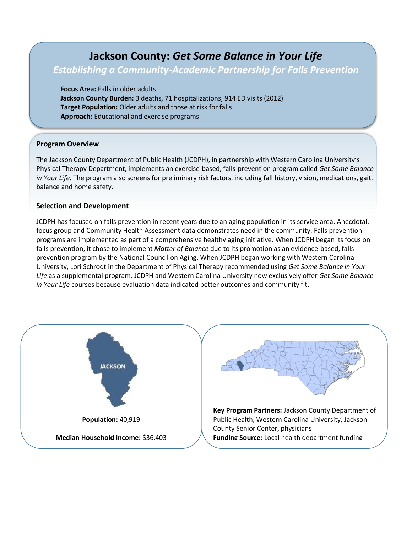# **Jackson County:** *Get Some Balance in Your Life*

## *Establishing a Community-Academic Partnership for Falls Prevention*

**Focus Area:** Falls in older adults **Jackson County Burden:** 3 deaths, 71 hospitalizations, 914 ED visits (2012) **Target Population:** Older adults and those at risk for falls **Approach:** Educational and exercise programs

#### **Program Overview**

The Jackson County Department of Public Health (JCDPH), in partnership with Western Carolina University's Physical Therapy Department, implements an exercise-based, falls-prevention program called *Get Some Balance in Your Life*. The program also screens for preliminary risk factors, including fall history, vision, medications, gait, balance and home safety.

#### **Selection and Development**

JCDPH has focused on falls prevention in recent years due to an aging population in its service area. Anecdotal, focus group and Community Health Assessment data demonstrates need in the community. Falls prevention programs are implemented as part of a comprehensive healthy aging initiative. When JCDPH began its focus on falls prevention, it chose to implement *Matter of Balance* due to its promotion as an evidence-based, fallsprevention program by the National Council on Aging. When JCDPH began working with Western Carolina University, Lori Schrodt in the Department of Physical Therapy recommended using *Get Some Balance in Your Life* as a supplemental program. JCDPH and Western Carolina University now exclusively offer *Get Some Balance in Your Life* courses because evaluation data indicated better outcomes and community fit.